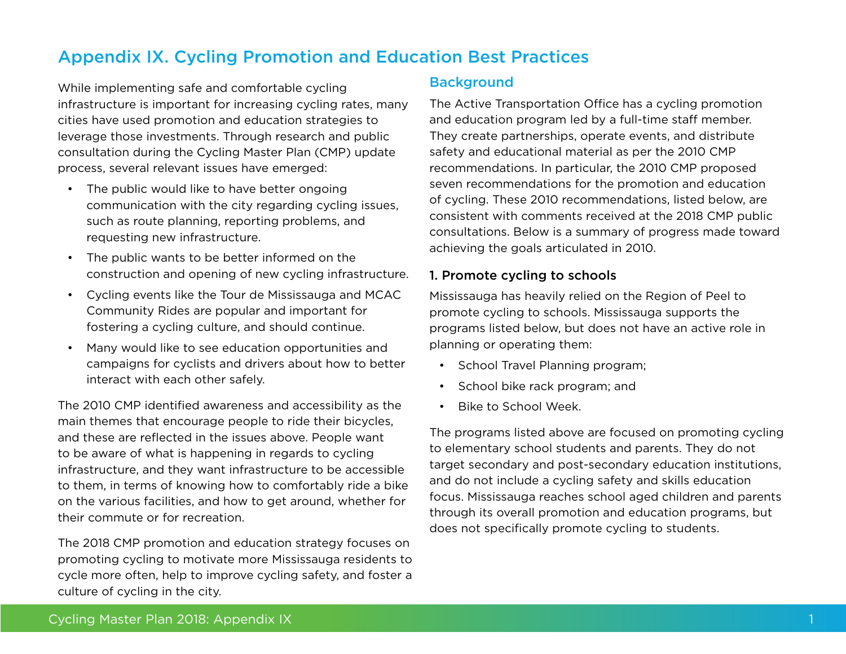# Appendix IX. Cycling Promotion and Education Best Practices

While implementing safe and comfortable cycling infrastructure is important for increasing cycling rates, many cities have used promotion and education strategies to leverage those investments. Through research and public consultation during the Cycling Master Plan (CMP) update process, several relevant issues have emerged:

- The public would like to have better ongoing communication with the city regarding cycling issues, such as route planning, reporting problems, and requesting new infrastructure.
- • The public wants to be better informed on the construction and opening of new cycling infrastructure.
- • Cycling events like the Tour de Mississauga and MCAC Community Rides are popular and important for fostering a cycling culture, and should continue.
- Many would like to see education opportunities and campaigns for cyclists and drivers about how to better interact with each other safely.

The 2010 CMP identified awareness and accessibility as the main themes that encourage people to ride their bicycles, and these are reflected in the issues above. People want to be aware of what is happening in regards to cycling infrastructure, and they want infrastructure to be accessible to them, in terms of knowing how to comfortably ride a bike on the various facilities, and how to get around, whether for their commute or for recreation.

The 2018 CMP promotion and education strategy focuses on promoting cycling to motivate more Mississauga residents to cycle more often, help to improve cycling safety, and foster a culture of cycling in the city.

## Background

The Active Transportation Office has a cycling promotion and education program led by a full-time staff member. They create partnerships, operate events, and distribute safety and educational material as per the 2010 CMP recommendations. In particular, the 2010 CMP proposed seven recommendations for the promotion and education of cycling. These 2010 recommendations, listed below, are consistent with comments received at the 2018 CMP public consultations. Below is a summary of progress made toward achieving the goals articulated in 2010.

## 1. Promote cycling to schools

Mississauga has heavily relied on the Region of Peel to promote cycling to schools. Mississauga supports the programs listed below, but does not have an active role in planning or operating them:

- School Travel Planning program;
- • School bike rack program; and
- • Bike to School Week.

The programs listed above are focused on promoting cycling to elementary school students and parents. They do not target secondary and post-secondary education institutions, and do not include a cycling safety and skills education focus. Mississauga reaches school aged children and parents through its overall promotion and education programs, but does not specifically promote cycling to students.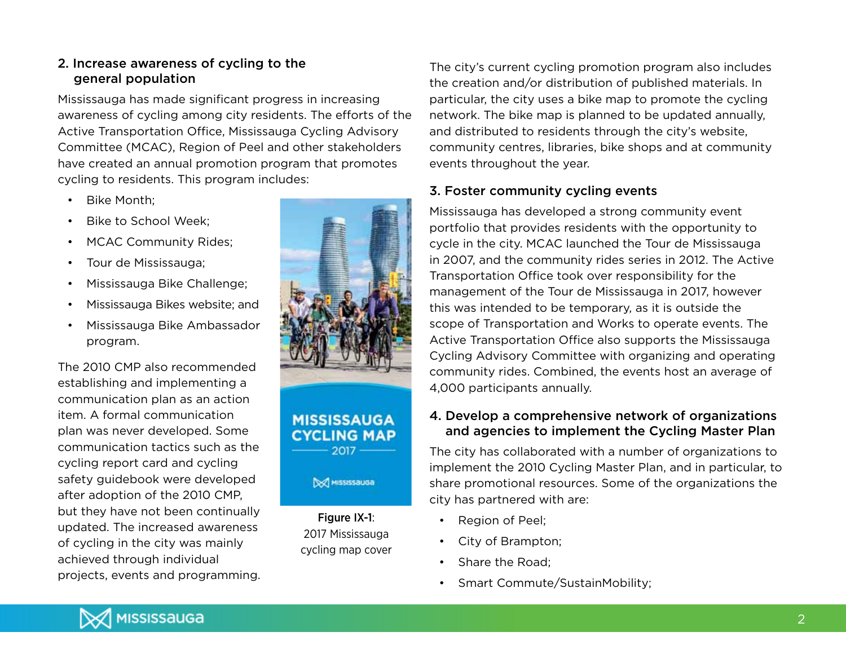#### 2. Increase awareness of cycling to the general population

Mississauga has made significant progress in increasing awareness of cycling among city residents. The efforts of the Active Transportation Office, Mississauga Cycling Advisory Committee (MCAC), Region of Peel and other stakeholders have created an annual promotion program that promotes cycling to residents. This program includes:

- Bike Month:
- Bike to School Week:
- MCAC Community Rides;
- Tour de Mississauga:
- Mississauga Bike Challenge;
- Mississauga Bikes website; and
- Mississauga Bike Ambassador program.

The 2010 CMP also recommended establishing and implementing a communication plan as an action item. A formal communication plan was never developed. Some communication tactics such as the cycling report card and cycling safety guidebook were developed after adoption of the 2010 CMP, but they have not been continually updated. The increased awareness of cycling in the city was mainly achieved through individual projects, events and programming.



The city's current cycling promotion program also includes the creation and/or distribution of published materials. In particular, the city uses a bike map to promote the cycling network. The bike map is planned to be updated annually, and distributed to residents through the city's website, community centres, libraries, bike shops and at community events throughout the year.

## 3. Foster community cycling events

Mississauga has developed a strong community event portfolio that provides residents with the opportunity to cycle in the city. MCAC launched the Tour de Mississauga in 2007, and the community rides series in 2012. The Active Transportation Office took over responsibility for the management of the Tour de Mississauga in 2017, however this was intended to be temporary, as it is outside the scope of Transportation and Works to operate events. The Active Transportation Office also supports the Mississauga Cycling Advisory Committee with organizing and operating community rides. Combined, the events host an average of 4,000 participants annually.

#### 4. Develop a comprehensive network of organizations and agencies to implement the Cycling Master Plan

The city has collaborated with a number of organizations to implement the 2010 Cycling Master Plan, and in particular, to share promotional resources. Some of the organizations the city has partnered with are:

- Region of Peel;
- • City of Brampton;
- Share the Road:
- Smart Commute/SustainMobility;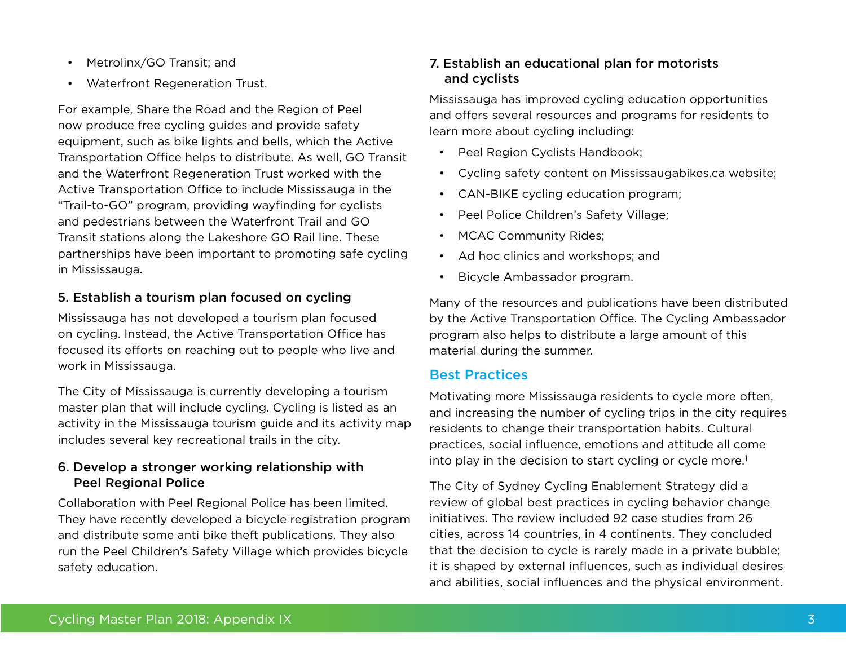- Metrolinx/GO Transit; and
- Waterfront Regeneration Trust.

For example, Share the Road and the Region of Peel now produce free cycling guides and provide safety equipment, such as bike lights and bells, which the Active Transportation Office helps to distribute. As well, GO Transit and the Waterfront Regeneration Trust worked with the Active Transportation Office to include Mississauga in the "Trail-to-GO" program, providing wayfinding for cyclists and pedestrians between the Waterfront Trail and GO Transit stations along the Lakeshore GO Rail line. These partnerships have been important to promoting safe cycling in Mississauga.

## 5. Establish a tourism plan focused on cycling

Mississauga has not developed a tourism plan focused on cycling. Instead, the Active Transportation Office has focused its efforts on reaching out to people who live and work in Mississauga.

The City of Mississauga is currently developing a tourism master plan that will include cycling. Cycling is listed as an activity in the Mississauga tourism guide and its activity map includes several key recreational trails in the city.

#### 6. Develop a stronger working relationship with Peel Regional Police

Collaboration with Peel Regional Police has been limited. They have recently developed a bicycle registration program and distribute some anti bike theft publications. They also run the Peel Children's Safety Village which provides bicycle safety education.

## 7. Establish an educational plan for motorists and cyclists

Mississauga has improved cycling education opportunities and offers several resources and programs for residents to learn more about cycling including:

- Peel Region Cyclists Handbook;
- Cycling safety content on Mississaugabikes.ca website;
- CAN-BIKE cycling education program;
- Peel Police Children's Safety Village;
- MCAC Community Rides:
- Ad hoc clinics and workshops; and
- Bicycle Ambassador program.

Many of the resources and publications have been distributed by the Active Transportation Office. The Cycling Ambassador program also helps to distribute a large amount of this material during the summer.

## Best Practices

Motivating more Mississauga residents to cycle more often, and increasing the number of cycling trips in the city requires residents to change their transportation habits. Cultural practices, social influence, emotions and attitude all come into play in the decision to start cycling or cycle more.<sup>1</sup>

The City of Sydney Cycling Enablement Strategy did a review of global best practices in cycling behavior change initiatives. The review included 92 case studies from 26 cities, across 14 countries, in 4 continents. They concluded that the decision to cycle is rarely made in a private bubble; it is shaped by external influences, such as individual desires and abilities, social influences and the physical environment.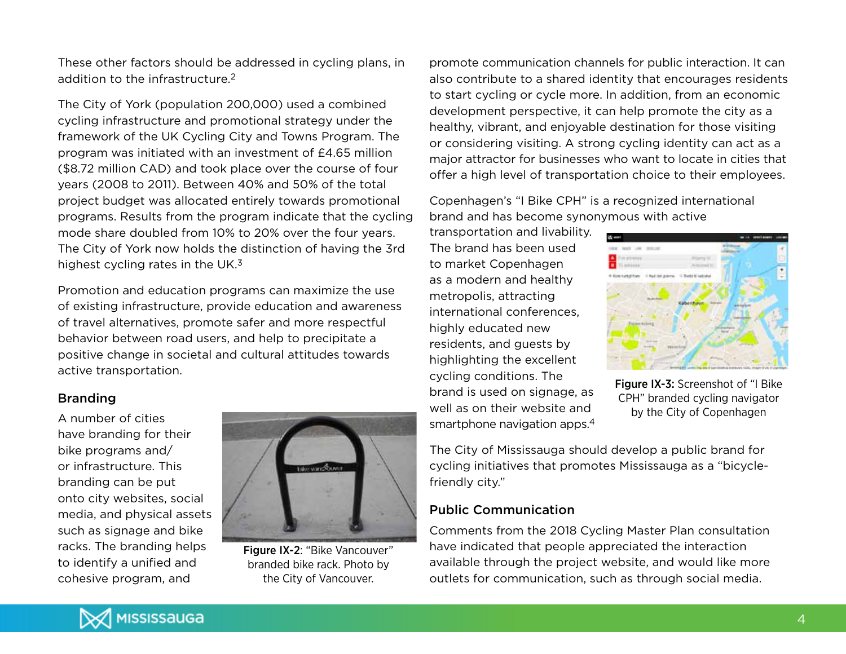These other factors should be addressed in cycling plans, in addition to the infrastructure.2

The City of York (population 200,000) used a combined cycling infrastructure and promotional strategy under the framework of the UK Cycling City and Towns Program. The program was initiated with an investment of £4.65 million (\$8.72 million CAD) and took place over the course of four years (2008 to 2011). Between 40% and 50% of the total project budget was allocated entirely towards promotional programs. Results from the program indicate that the cycling mode share doubled from 10% to 20% over the four years. The City of York now holds the distinction of having the 3rd highest cycling rates in the UK. $3$ 

Promotion and education programs can maximize the use of existing infrastructure, provide education and awareness of travel alternatives, promote safer and more respectful behavior between road users, and help to precipitate a positive change in societal and cultural attitudes towards active transportation.

#### Branding

A number of cities have branding for their bike programs and/ or infrastructure. This branding can be put onto city websites, social media, and physical assets such as signage and bike racks. The branding helps to identify a unified and cohesive program, and



Figure IX-2: "Bike Vancouver" branded bike rack. Photo by the City of Vancouver.

promote communication channels for public interaction. It can also contribute to a shared identity that encourages residents to start cycling or cycle more. In addition, from an economic development perspective, it can help promote the city as a healthy, vibrant, and enjoyable destination for those visiting or considering visiting. A strong cycling identity can act as a major attractor for businesses who want to locate in cities that offer a high level of transportation choice to their employees.

Copenhagen's "I Bike CPH" is a recognized international brand and has become synonymous with active

transportation and livability. The brand has been used to market Copenhagen as a modern and healthy metropolis, attracting international conferences, highly educated new residents, and guests by highlighting the excellent cycling conditions. The brand is used on signage, as well as on their website and smartphone navigation apps.4



Figure IX-3: Screenshot of "I Bike CPH" branded cycling navigator by the City of Copenhagen

The City of Mississauga should develop a public brand for cycling initiatives that promotes Mississauga as a "bicyclefriendly city."

#### Public Communication

Comments from the 2018 Cycling Master Plan consultation have indicated that people appreciated the interaction available through the project website, and would like more outlets for communication, such as through social media.

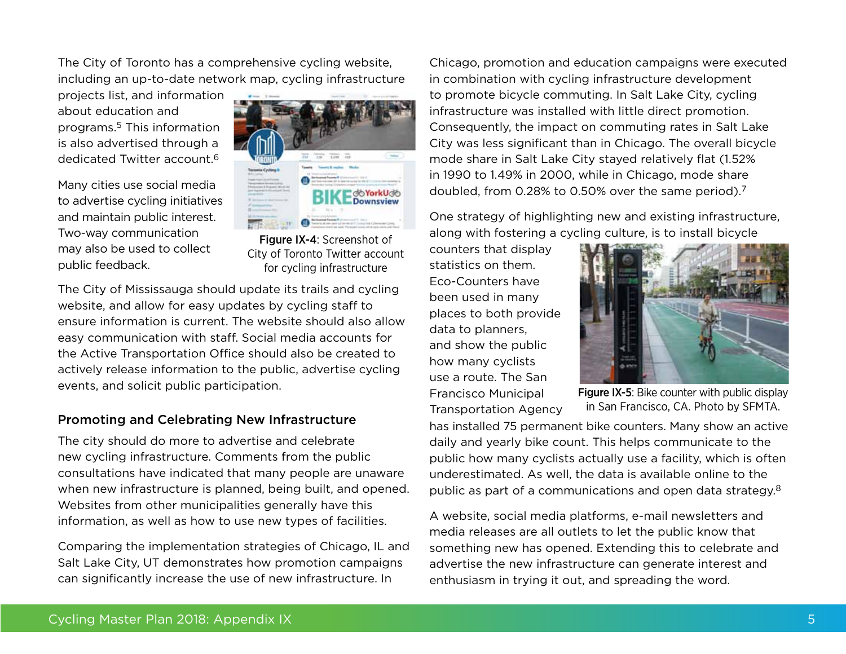The City of Toronto has a comprehensive cycling website, including an up-to-date network map, cycling infrastructure

projects list, and information about education and programs.5 This information is also advertised through a dedicated Twitter account.6

Many cities use social media to advertise cycling initiatives and maintain public interest. Two-way communication may also be used to collect public feedback.



Figure IX-4: Screenshot of City of Toronto Twitter account for cycling infrastructure

The City of Mississauga should update its trails and cycling website, and allow for easy updates by cycling staff to ensure information is current. The website should also allow easy communication with staff. Social media accounts for the Active Transportation Office should also be created to actively release information to the public, advertise cycling events, and solicit public participation.

## Promoting and Celebrating New Infrastructure

The city should do more to advertise and celebrate new cycling infrastructure. Comments from the public consultations have indicated that many people are unaware when new infrastructure is planned, being built, and opened. Websites from other municipalities generally have this information, as well as how to use new types of facilities.

Comparing the implementation strategies of Chicago, IL and Salt Lake City, UT demonstrates how promotion campaigns can significantly increase the use of new infrastructure. In

Chicago, promotion and education campaigns were executed in combination with cycling infrastructure development to promote bicycle commuting. In Salt Lake City, cycling infrastructure was installed with little direct promotion. Consequently, the impact on commuting rates in Salt Lake City was less significant than in Chicago. The overall bicycle mode share in Salt Lake City stayed relatively flat (1.52% in 1990 to 1.49% in 2000, while in Chicago, mode share doubled, from 0.28% to 0.50% over the same period).7

One strategy of highlighting new and existing infrastructure, along with fostering a cycling culture, is to install bicycle

counters that display statistics on them. Eco-Counters have been used in many places to both provide data to planners, and show the public how many cyclists use a route. The San Francisco Municipal Transportation Agency



Figure IX-5: Bike counter with public display in San Francisco, CA. Photo by SFMTA.

has installed 75 permanent bike counters. Many show an active daily and yearly bike count. This helps communicate to the public how many cyclists actually use a facility, which is often underestimated. As well, the data is available online to the public as part of a communications and open data strategy.8

A website, social media platforms, e-mail newsletters and media releases are all outlets to let the public know that something new has opened. Extending this to celebrate and advertise the new infrastructure can generate interest and enthusiasm in trying it out, and spreading the word.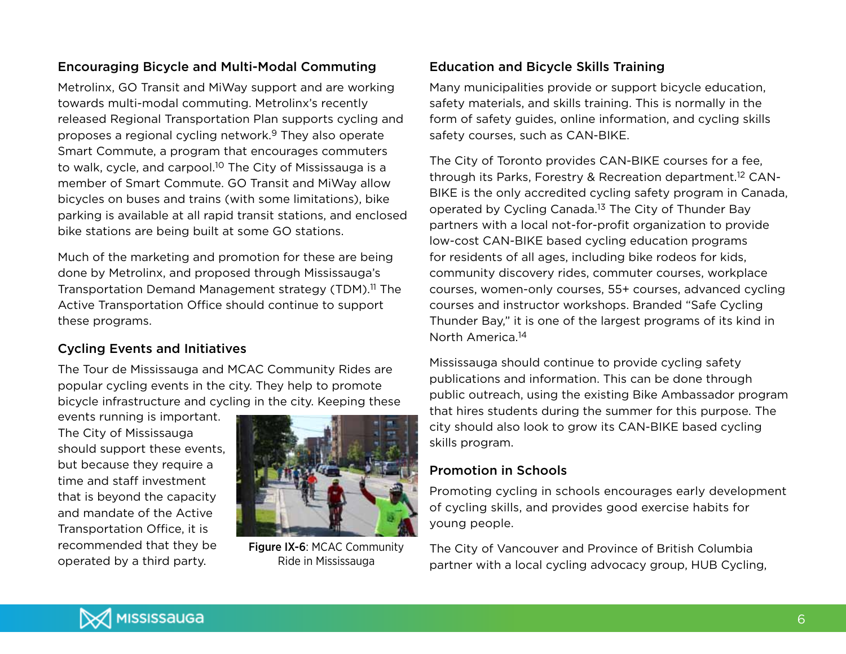## Encouraging Bicycle and Multi-Modal Commuting

Metrolinx, GO Transit and MiWay support and are working towards multi-modal commuting. Metrolinx's recently released Regional Transportation Plan supports cycling and proposes a regional cycling network.9 They also operate Smart Commute, a program that encourages commuters to walk, cycle, and carpool.10 The City of Mississauga is a member of Smart Commute. GO Transit and MiWay allow bicycles on buses and trains (with some limitations), bike parking is available at all rapid transit stations, and enclosed bike stations are being built at some GO stations.

Much of the marketing and promotion for these are being done by Metrolinx, and proposed through Mississauga's Transportation Demand Management strategy (TDM).11 The Active Transportation Office should continue to support these programs.

## Cycling Events and Initiatives

The Tour de Mississauga and MCAC Community Rides are popular cycling events in the city. They help to promote bicycle infrastructure and cycling in the city. Keeping these

events running is important. The City of Mississauga should support these events, but because they require a time and staff investment that is beyond the capacity and mandate of the Active Transportation Office, it is recommended that they be operated by a third party.



Figure IX-6: MCAC Community Ride in Mississauga

## Education and Bicycle Skills Training

Many municipalities provide or support bicycle education, safety materials, and skills training. This is normally in the form of safety guides, online information, and cycling skills safety courses, such as CAN-BIKE.

The City of Toronto provides CAN-BIKE courses for a fee, through its Parks, Forestry & Recreation department.12 CAN-BIKE is the only accredited cycling safety program in Canada, operated by Cycling Canada.13 The City of Thunder Bay partners with a local not-for-profit organization to provide low-cost CAN-BIKE based cycling education programs for residents of all ages, including bike rodeos for kids, community discovery rides, commuter courses, workplace courses, women-only courses, 55+ courses, advanced cycling courses and instructor workshops. Branded "Safe Cycling Thunder Bay," it is one of the largest programs of its kind in North America.14

Mississauga should continue to provide cycling safety publications and information. This can be done through public outreach, using the existing Bike Ambassador program that hires students during the summer for this purpose. The city should also look to grow its CAN-BIKE based cycling skills program.

#### Promotion in Schools

Promoting cycling in schools encourages early development of cycling skills, and provides good exercise habits for young people.

The City of Vancouver and Province of British Columbia partner with a local cycling advocacy group, HUB Cycling,

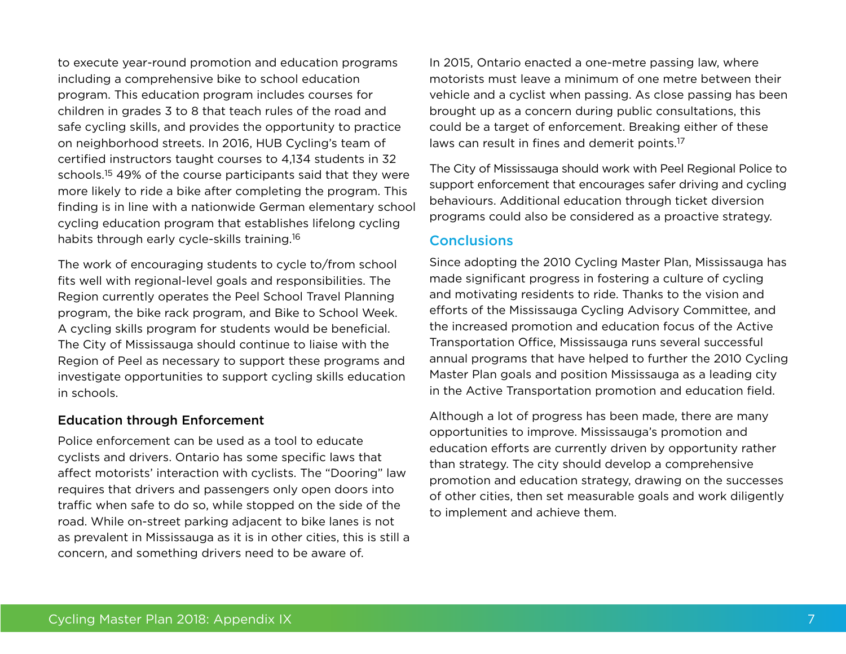to execute year-round promotion and education programs including a comprehensive bike to school education program. This education program includes courses for children in grades 3 to 8 that teach rules of the road and safe cycling skills, and provides the opportunity to practice on neighborhood streets. In 2016, HUB Cycling's team of certified instructors taught courses to 4,134 students in 32 schools.<sup>15</sup> 49% of the course participants said that they were more likely to ride a bike after completing the program. This finding is in line with a nationwide German elementary school cycling education program that establishes lifelong cycling habits through early cycle-skills training.16

The work of encouraging students to cycle to/from school fits well with regional-level goals and responsibilities. The Region currently operates the Peel School Travel Planning program, the bike rack program, and Bike to School Week. A cycling skills program for students would be beneficial. The City of Mississauga should continue to liaise with the Region of Peel as necessary to support these programs and investigate opportunities to support cycling skills education in schools.

#### Education through Enforcement

Police enforcement can be used as a tool to educate cyclists and drivers. Ontario has some specific laws that affect motorists' interaction with cyclists. The "Dooring" law requires that drivers and passengers only open doors into traffic when safe to do so, while stopped on the side of the road. While on-street parking adjacent to bike lanes is not as prevalent in Mississauga as it is in other cities, this is still a concern, and something drivers need to be aware of.

In 2015, Ontario enacted a one-metre passing law, where motorists must leave a minimum of one metre between their vehicle and a cyclist when passing. As close passing has been brought up as a concern during public consultations, this could be a target of enforcement. Breaking either of these laws can result in fines and demerit points.17

The City of Mississauga should work with Peel Regional Police to support enforcement that encourages safer driving and cycling behaviours. Additional education through ticket diversion programs could also be considered as a proactive strategy.

#### Conclusions

Since adopting the 2010 Cycling Master Plan, Mississauga has made significant progress in fostering a culture of cycling and motivating residents to ride. Thanks to the vision and efforts of the Mississauga Cycling Advisory Committee, and the increased promotion and education focus of the Active Transportation Office, Mississauga runs several successful annual programs that have helped to further the 2010 Cycling Master Plan goals and position Mississauga as a leading city in the Active Transportation promotion and education field.

Although a lot of progress has been made, there are many opportunities to improve. Mississauga's promotion and education efforts are currently driven by opportunity rather than strategy. The city should develop a comprehensive promotion and education strategy, drawing on the successes of other cities, then set measurable goals and work diligently to implement and achieve them.